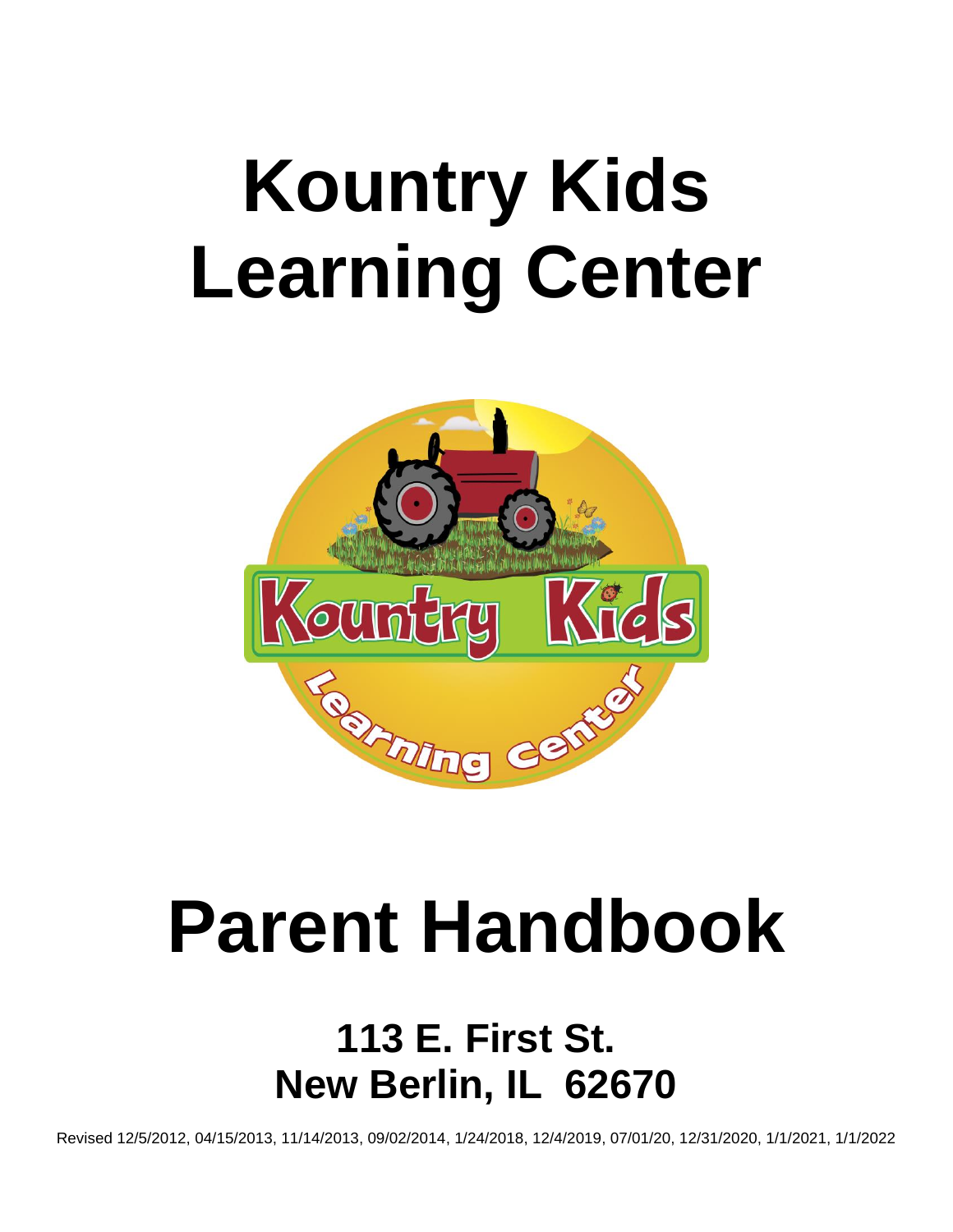# **Kountry Kids Learning Center**



# **Parent Handbook**

## **113 E. First St. New Berlin, IL 62670**

Revised 12/5/2012, 04/15/2013, 11/14/2013, 09/02/2014, 1/24/2018, 12/4/2019, 07/01/20, 12/31/2020, 1/1/2021, 1/1/2022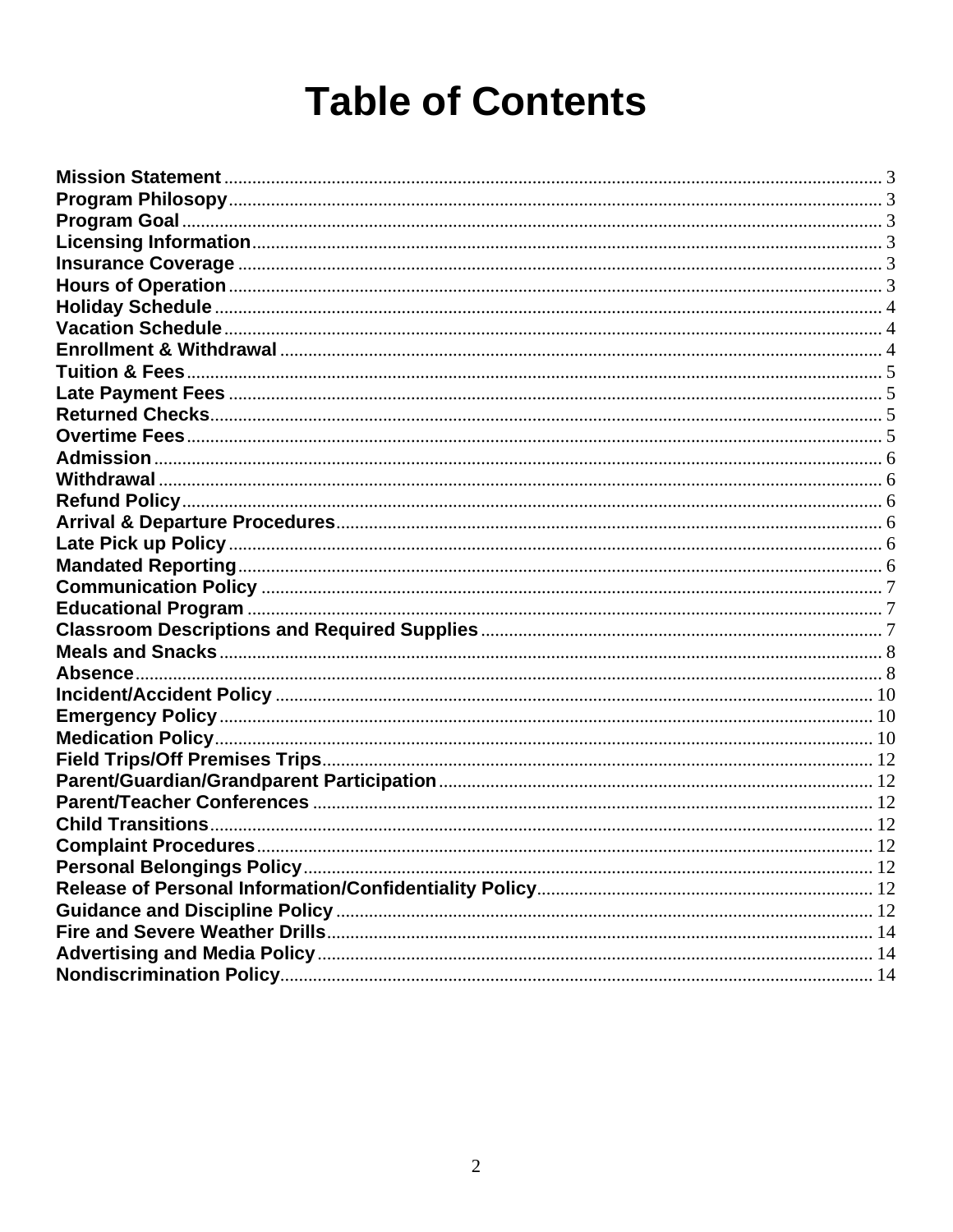## **Table of Contents**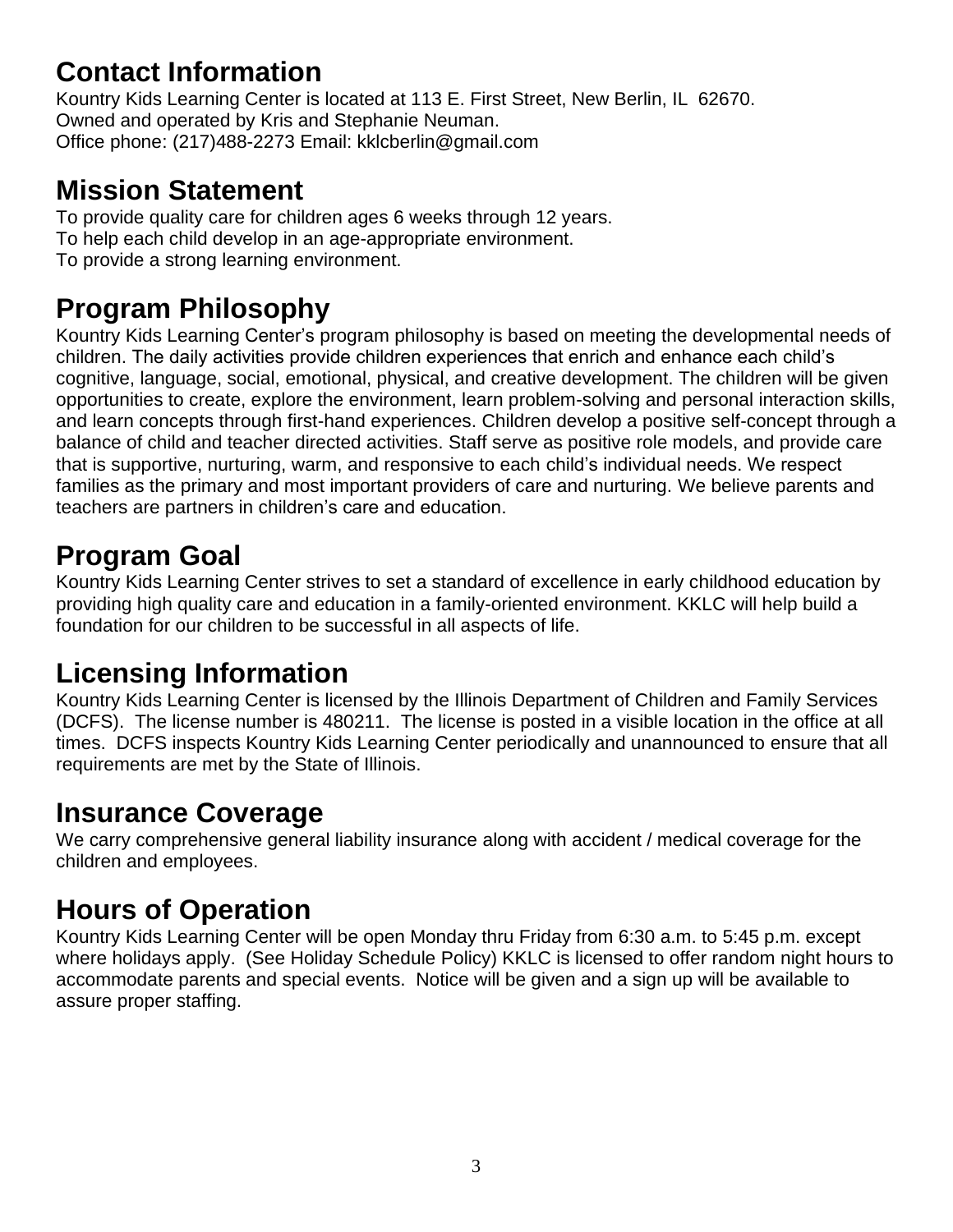## **Contact Information**

Kountry Kids Learning Center is located at 113 E. First Street, New Berlin, IL 62670. Owned and operated by Kris and Stephanie Neuman. Office phone: (217)488-2273 Email: kklcberlin@gmail.com

#### <span id="page-2-0"></span>**Mission Statement**

To provide quality care for children ages 6 weeks through 12 years. To help each child develop in an age-appropriate environment. To provide a strong learning environment.

#### **Program Philosophy**

Kountry Kids Learning Center's program philosophy is based on meeting the developmental needs of children. The daily activities provide children experiences that enrich and enhance each child's cognitive, language, social, emotional, physical, and creative development. The children will be given opportunities to create, explore the environment, learn problem-solving and personal interaction skills, and learn concepts through first-hand experiences. Children develop a positive self-concept through a balance of child and teacher directed activities. Staff serve as positive role models, and provide care that is supportive, nurturing, warm, and responsive to each child's individual needs. We respect families as the primary and most important providers of care and nurturing. We believe parents and teachers are partners in children's care and education.

## <span id="page-2-1"></span>**Program Goal**

Kountry Kids Learning Center strives to set a standard of excellence in early childhood education by providing high quality care and education in a family-oriented environment. KKLC will help build a foundation for our children to be successful in all aspects of life.

## <span id="page-2-2"></span>**Licensing Information**

Kountry Kids Learning Center is licensed by the Illinois Department of Children and Family Services (DCFS). The license number is 480211. The license is posted in a visible location in the office at all times. DCFS inspects Kountry Kids Learning Center periodically and unannounced to ensure that all requirements are met by the State of Illinois.

#### <span id="page-2-3"></span>**Insurance Coverage**

We carry comprehensive general liability insurance along with accident / medical coverage for the children and employees.

## <span id="page-2-4"></span>**Hours of Operation**

Kountry Kids Learning Center will be open Monday thru Friday from 6:30 a.m. to 5:45 p.m. except where holidays apply. (See Holiday Schedule Policy) KKLC is licensed to offer random night hours to accommodate parents and special events. Notice will be given and a sign up will be available to assure proper staffing.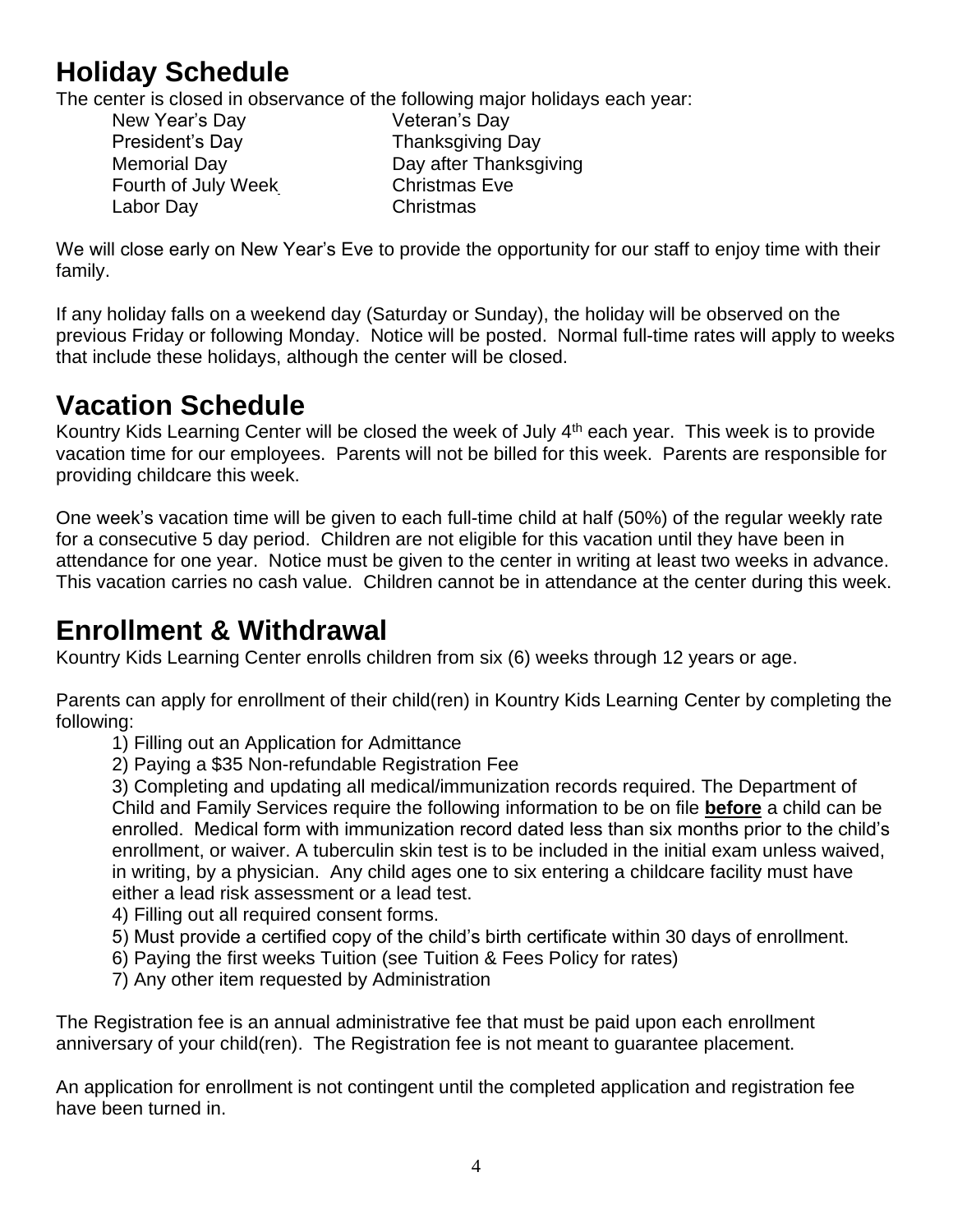## <span id="page-3-0"></span>**Holiday Schedule**

The center is closed in observance of the following major holidays each year:

New Year's Day **Veteran's Day** President's Day **Thanksgiving Day** Fourth of July Week Christmas Eve Labor Day Christmas

Memorial Day **Day Access Memorial Day** Day after Thanksgiving

We will close early on New Year's Eve to provide the opportunity for our staff to enjoy time with their family.

If any holiday falls on a weekend day (Saturday or Sunday), the holiday will be observed on the previous Friday or following Monday. Notice will be posted. Normal full-time rates will apply to weeks that include these holidays, although the center will be closed.

#### **Vacation Schedule**

Kountry Kids Learning Center will be closed the week of July 4<sup>th</sup> each year. This week is to provide vacation time for our employees. Parents will not be billed for this week. Parents are responsible for providing childcare this week.

One week's vacation time will be given to each full-time child at half (50%) of the regular weekly rate for a consecutive 5 day period. Children are not eligible for this vacation until they have been in attendance for one year. Notice must be given to the center in writing at least two weeks in advance. This vacation carries no cash value. Children cannot be in attendance at the center during this week.

#### <span id="page-3-1"></span>**Enrollment & Withdrawal**

Kountry Kids Learning Center enrolls children from six (6) weeks through 12 years or age.

Parents can apply for enrollment of their child(ren) in Kountry Kids Learning Center by completing the following:

- 1) Filling out an Application for Admittance
- 2) Paying a \$35 Non-refundable Registration Fee

3) Completing and updating all medical/immunization records required. The Department of Child and Family Services require the following information to be on file **before** a child can be enrolled. Medical form with immunization record dated less than six months prior to the child's enrollment, or waiver. A tuberculin skin test is to be included in the initial exam unless waived, in writing, by a physician. Any child ages one to six entering a childcare facility must have either a lead risk assessment or a lead test.

- 4) Filling out all required consent forms.
- 5) Must provide a certified copy of the child's birth certificate within 30 days of enrollment.
- 6) Paying the first weeks Tuition (see Tuition & Fees Policy for rates)
- 7) Any other item requested by Administration

The Registration fee is an annual administrative fee that must be paid upon each enrollment anniversary of your child(ren). The Registration fee is not meant to guarantee placement.

An application for enrollment is not contingent until the completed application and registration fee have been turned in.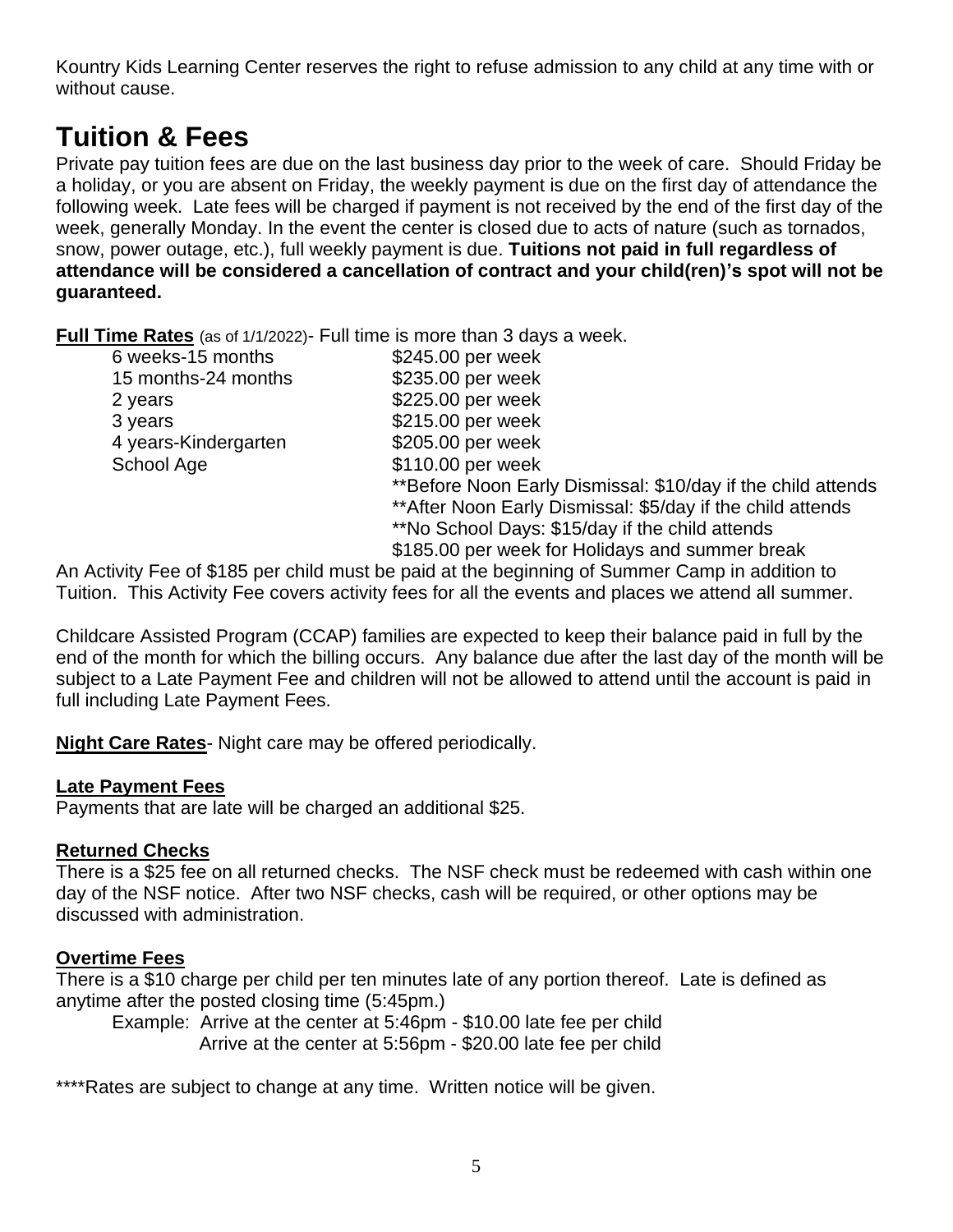Kountry Kids Learning Center reserves the right to refuse admission to any child at any time with or without cause.

#### <span id="page-4-0"></span>**Tuition & Fees**

Private pay tuition fees are due on the last business day prior to the week of care. Should Friday be a holiday, or you are absent on Friday, the weekly payment is due on the first day of attendance the following week. Late fees will be charged if payment is not received by the end of the first day of the week, generally Monday. In the event the center is closed due to acts of nature (such as tornados, snow, power outage, etc.), full weekly payment is due. **Tuitions not paid in full regardless of attendance will be considered a cancellation of contract and your child(ren)'s spot will not be guaranteed.**

**Full Time Rates** (as of 1/1/2022)- Full time is more than 3 days a week.

| 6 weeks-15 months    | \$245.00 per week                                            |
|----------------------|--------------------------------------------------------------|
| 15 months-24 months  | \$235.00 per week                                            |
| 2 years              | \$225.00 per week                                            |
| 3 years              | \$215.00 per week                                            |
| 4 years-Kindergarten | \$205.00 per week                                            |
| School Age           | \$110.00 per week                                            |
|                      | **Before Noon Early Dismissal: \$10/day if the child attends |
|                      | ** After Noon Early Dismissal: \$5/day if the child attends  |
|                      | **No School Days: \$15/day if the child attends              |
|                      | \$185.00 per week for Holidays and summer break              |
|                      |                                                              |

An Activity Fee of \$185 per child must be paid at the beginning of Summer Camp in addition to Tuition. This Activity Fee covers activity fees for all the events and places we attend all summer.

Childcare Assisted Program (CCAP) families are expected to keep their balance paid in full by the end of the month for which the billing occurs. Any balance due after the last day of the month will be subject to a Late Payment Fee and children will not be allowed to attend until the account is paid in full including Late Payment Fees.

**Night Care Rates**- Night care may be offered periodically.

#### <span id="page-4-1"></span>**Late Payment Fees**

Payments that are late will be charged an additional \$25.

#### <span id="page-4-2"></span>**Returned Checks**

There is a \$25 fee on all returned checks. The NSF check must be redeemed with cash within one day of the NSF notice. After two NSF checks, cash will be required, or other options may be discussed with administration.

#### <span id="page-4-3"></span>**Overtime Fees**

There is a \$10 charge per child per ten minutes late of any portion thereof. Late is defined as anytime after the posted closing time (5:45pm.)

Example: Arrive at the center at 5:46pm - \$10.00 late fee per child Arrive at the center at 5:56pm - \$20.00 late fee per child

\*\*\*\*Rates are subject to change at any time. Written notice will be given.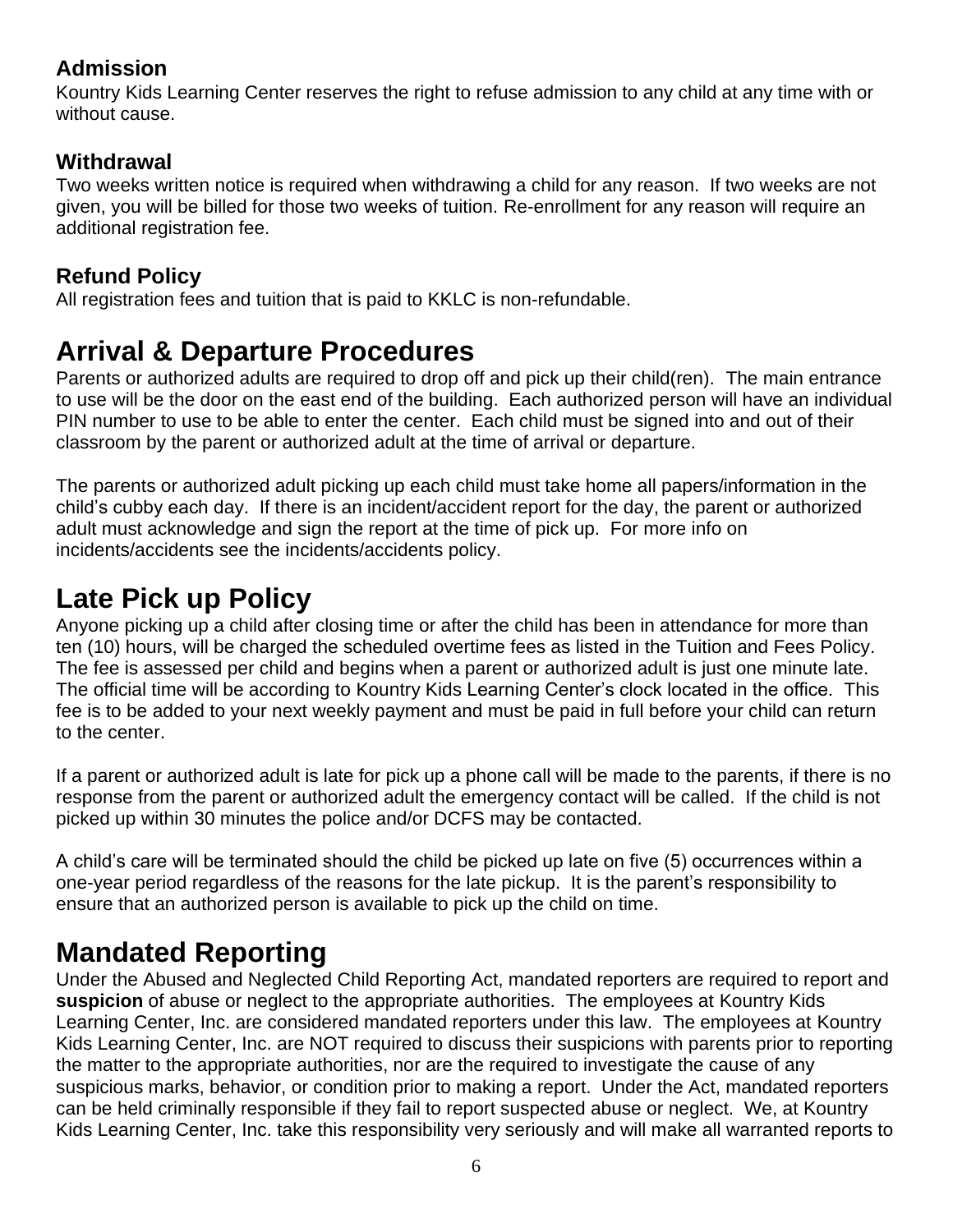#### <span id="page-5-0"></span>**Admission**

Kountry Kids Learning Center reserves the right to refuse admission to any child at any time with or without cause.

#### **Withdrawal**

Two weeks written notice is required when withdrawing a child for any reason. If two weeks are not given, you will be billed for those two weeks of tuition. Re-enrollment for any reason will require an additional registration fee.

#### **Refund Policy**

<span id="page-5-1"></span>All registration fees and tuition that is paid to KKLC is non-refundable.

#### **Arrival & Departure Procedures**

Parents or authorized adults are required to drop off and pick up their child(ren). The main entrance to use will be the door on the east end of the building. Each authorized person will have an individual PIN number to use to be able to enter the center. Each child must be signed into and out of their classroom by the parent or authorized adult at the time of arrival or departure.

The parents or authorized adult picking up each child must take home all papers/information in the child's cubby each day. If there is an incident/accident report for the day, the parent or authorized adult must acknowledge and sign the report at the time of pick up. For more info on incidents/accidents see the incidents/accidents policy.

#### <span id="page-5-2"></span>**Late Pick up Policy**

Anyone picking up a child after closing time or after the child has been in attendance for more than ten (10) hours, will be charged the scheduled overtime fees as listed in the Tuition and Fees Policy. The fee is assessed per child and begins when a parent or authorized adult is just one minute late. The official time will be according to Kountry Kids Learning Center's clock located in the office. This fee is to be added to your next weekly payment and must be paid in full before your child can return to the center.

If a parent or authorized adult is late for pick up a phone call will be made to the parents, if there is no response from the parent or authorized adult the emergency contact will be called. If the child is not picked up within 30 minutes the police and/or DCFS may be contacted.

A child's care will be terminated should the child be picked up late on five (5) occurrences within a one-year period regardless of the reasons for the late pickup. It is the parent's responsibility to ensure that an authorized person is available to pick up the child on time.

#### <span id="page-5-3"></span>**Mandated Reporting**

Under the Abused and Neglected Child Reporting Act, mandated reporters are required to report and **suspicion** of abuse or neglect to the appropriate authorities. The employees at Kountry Kids Learning Center, Inc. are considered mandated reporters under this law. The employees at Kountry Kids Learning Center, Inc. are NOT required to discuss their suspicions with parents prior to reporting the matter to the appropriate authorities, nor are the required to investigate the cause of any suspicious marks, behavior, or condition prior to making a report. Under the Act, mandated reporters can be held criminally responsible if they fail to report suspected abuse or neglect. We, at Kountry Kids Learning Center, Inc. take this responsibility very seriously and will make all warranted reports to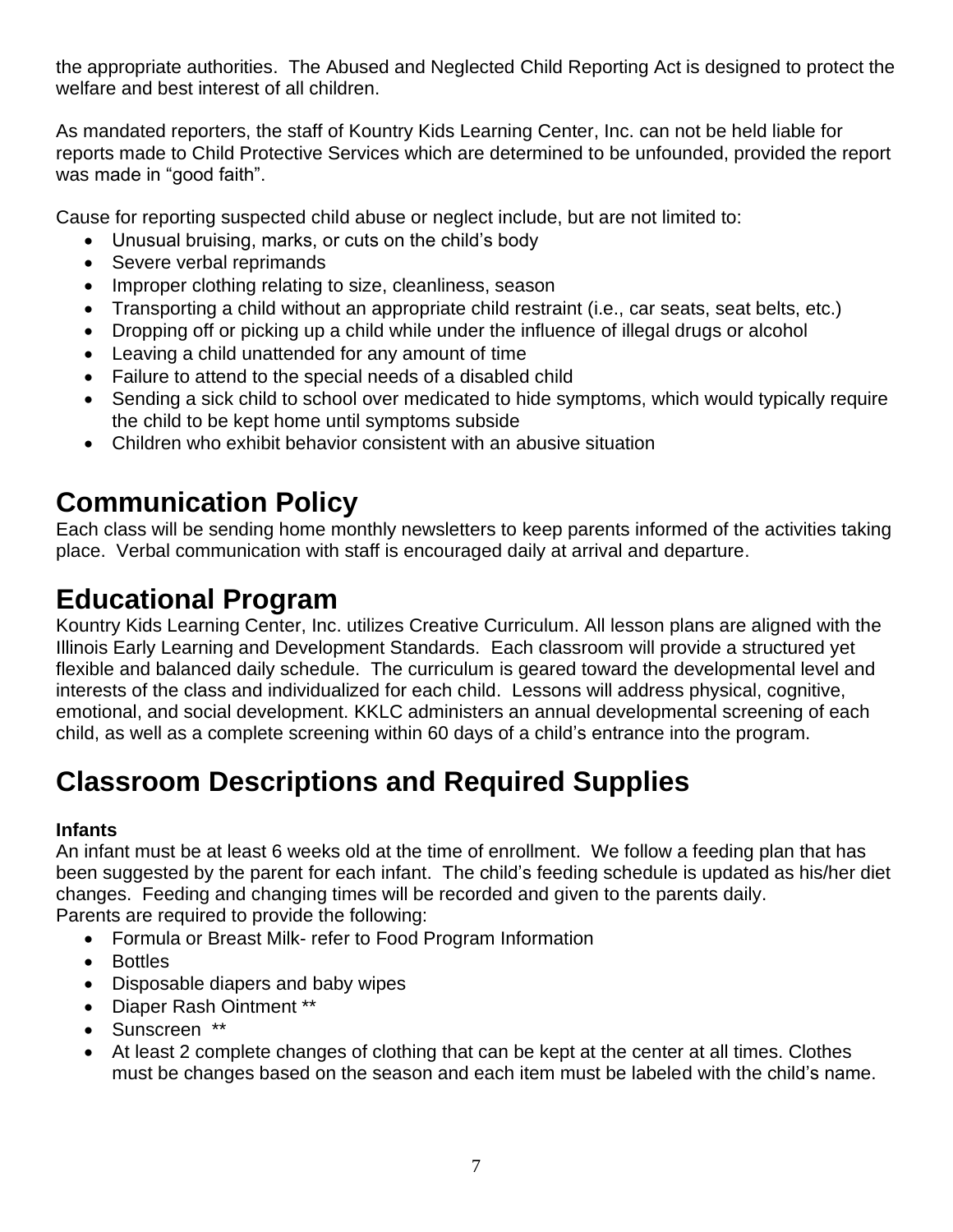the appropriate authorities. The Abused and Neglected Child Reporting Act is designed to protect the welfare and best interest of all children.

As mandated reporters, the staff of Kountry Kids Learning Center, Inc. can not be held liable for reports made to Child Protective Services which are determined to be unfounded, provided the report was made in "good faith".

Cause for reporting suspected child abuse or neglect include, but are not limited to:

- Unusual bruising, marks, or cuts on the child's body
- Severe verbal reprimands
- Improper clothing relating to size, cleanliness, season
- Transporting a child without an appropriate child restraint (i.e., car seats, seat belts, etc.)
- Dropping off or picking up a child while under the influence of illegal drugs or alcohol
- Leaving a child unattended for any amount of time
- Failure to attend to the special needs of a disabled child
- Sending a sick child to school over medicated to hide symptoms, which would typically require the child to be kept home until symptoms subside
- Children who exhibit behavior consistent with an abusive situation

## <span id="page-6-0"></span>**Communication Policy**

Each class will be sending home monthly newsletters to keep parents informed of the activities taking place. Verbal communication with staff is encouraged daily at arrival and departure.

## <span id="page-6-1"></span>**Educational Program**

Kountry Kids Learning Center, Inc. utilizes Creative Curriculum. All lesson plans are aligned with the Illinois Early Learning and Development Standards. Each classroom will provide a structured yet flexible and balanced daily schedule. The curriculum is geared toward the developmental level and interests of the class and individualized for each child. Lessons will address physical, cognitive, emotional, and social development. KKLC administers an annual developmental screening of each child, as well as a complete screening within 60 days of a child's entrance into the program.

## <span id="page-6-2"></span>**Classroom Descriptions and Required Supplies**

#### **Infants**

An infant must be at least 6 weeks old at the time of enrollment. We follow a feeding plan that has been suggested by the parent for each infant. The child's feeding schedule is updated as his/her diet changes. Feeding and changing times will be recorded and given to the parents daily. Parents are required to provide the following:

- Formula or Breast Milk- refer to Food Program Information
- Bottles
- Disposable diapers and baby wipes
- Diaper Rash Ointment \*\*
- Sunscreen \*\*
- At least 2 complete changes of clothing that can be kept at the center at all times. Clothes must be changes based on the season and each item must be labeled with the child's name.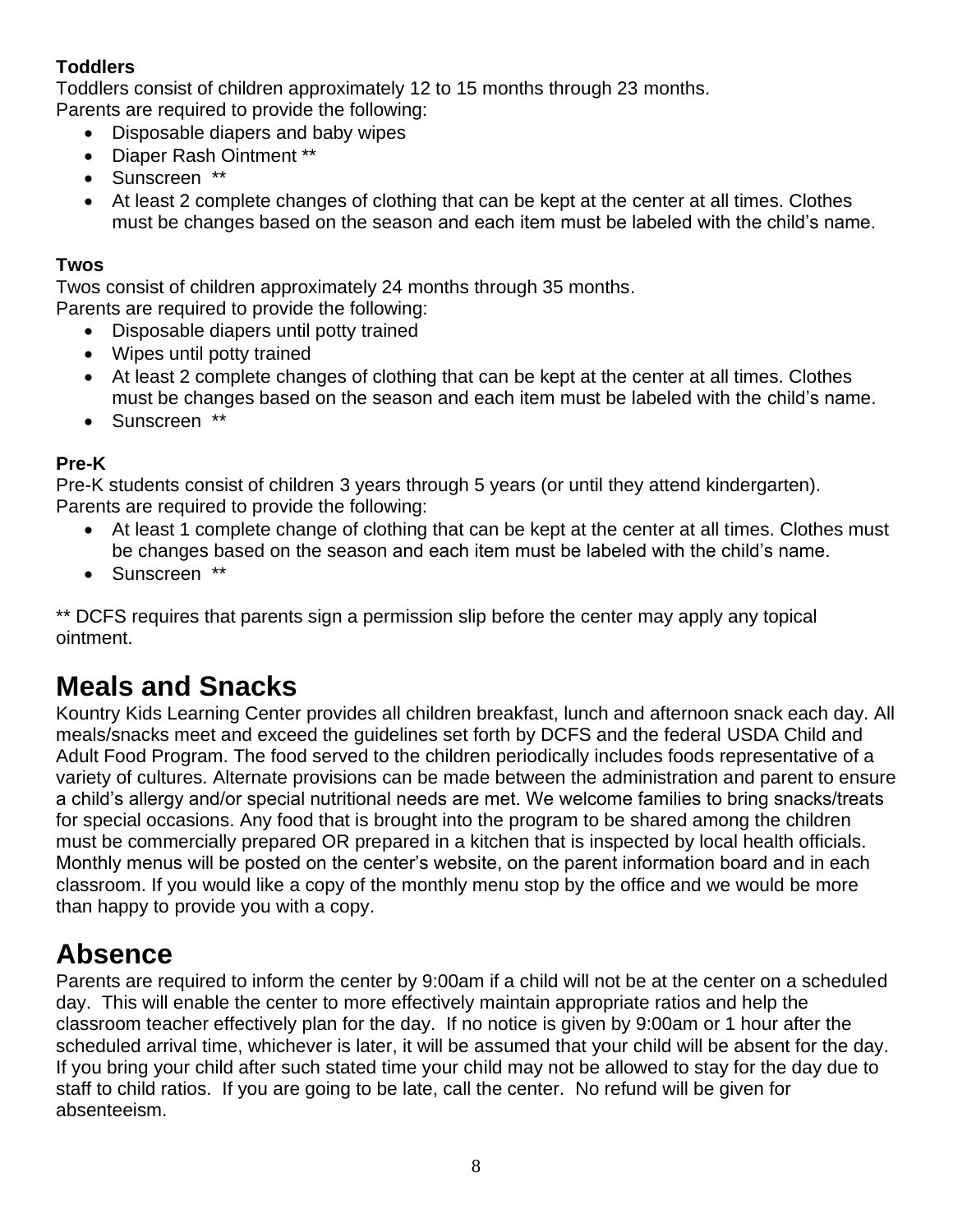#### **Toddlers**

Toddlers consist of children approximately 12 to 15 months through 23 months.

Parents are required to provide the following:

- Disposable diapers and baby wipes
- Diaper Rash Ointment \*\*
- Sunscreen \*\*
- At least 2 complete changes of clothing that can be kept at the center at all times. Clothes must be changes based on the season and each item must be labeled with the child's name.

#### **Twos**

Twos consist of children approximately 24 months through 35 months. Parents are required to provide the following:

- Disposable diapers until potty trained
- Wipes until potty trained
- At least 2 complete changes of clothing that can be kept at the center at all times. Clothes must be changes based on the season and each item must be labeled with the child's name.
- Sunscreen \*\*

#### **Pre-K**

Pre-K students consist of children 3 years through 5 years (or until they attend kindergarten). Parents are required to provide the following:

- At least 1 complete change of clothing that can be kept at the center at all times. Clothes must be changes based on the season and each item must be labeled with the child's name.
- Sunscreen \*\*

\*\* DCFS requires that parents sign a permission slip before the center may apply any topical ointment.

#### **Meals and Snacks**

Kountry Kids Learning Center provides all children breakfast, lunch and afternoon snack each day. All meals/snacks meet and exceed the guidelines set forth by DCFS and the federal USDA Child and Adult Food Program. The food served to the children periodically includes foods representative of a variety of cultures. Alternate provisions can be made between the administration and parent to ensure a child's allergy and/or special nutritional needs are met. We welcome families to bring snacks/treats for special occasions. Any food that is brought into the program to be shared among the children must be commercially prepared OR prepared in a kitchen that is inspected by local health officials. Monthly menus will be posted on the center's website, on the parent information board and in each classroom. If you would like a copy of the monthly menu stop by the office and we would be more than happy to provide you with a copy.

#### <span id="page-7-0"></span>**Absence**

Parents are required to inform the center by 9:00am if a child will not be at the center on a scheduled day. This will enable the center to more effectively maintain appropriate ratios and help the classroom teacher effectively plan for the day. If no notice is given by 9:00am or 1 hour after the scheduled arrival time, whichever is later, it will be assumed that your child will be absent for the day. If you bring your child after such stated time your child may not be allowed to stay for the day due to staff to child ratios. If you are going to be late, call the center. No refund will be given for absenteeism.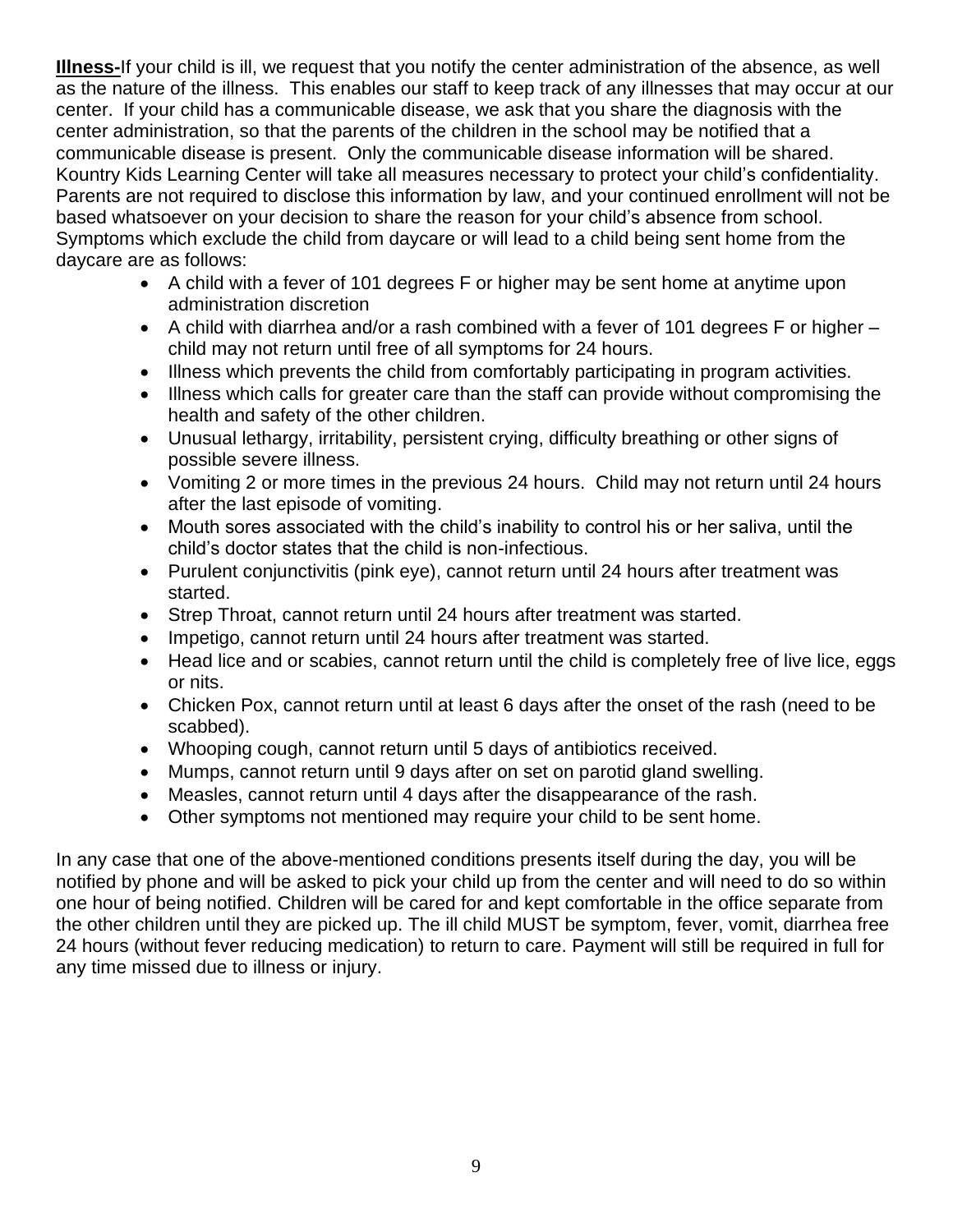**Illness-**If your child is ill, we request that you notify the center administration of the absence, as well as the nature of the illness. This enables our staff to keep track of any illnesses that may occur at our center. If your child has a communicable disease, we ask that you share the diagnosis with the center administration, so that the parents of the children in the school may be notified that a communicable disease is present. Only the communicable disease information will be shared. Kountry Kids Learning Center will take all measures necessary to protect your child's confidentiality. Parents are not required to disclose this information by law, and your continued enrollment will not be based whatsoever on your decision to share the reason for your child's absence from school. Symptoms which exclude the child from daycare or will lead to a child being sent home from the daycare are as follows:

- A child with a fever of 101 degrees F or higher may be sent home at anytime upon administration discretion
- A child with diarrhea and/or a rash combined with a fever of 101 degrees F or higher child may not return until free of all symptoms for 24 hours.
- Illness which prevents the child from comfortably participating in program activities.
- Illness which calls for greater care than the staff can provide without compromising the health and safety of the other children.
- Unusual lethargy, irritability, persistent crying, difficulty breathing or other signs of possible severe illness.
- Vomiting 2 or more times in the previous 24 hours. Child may not return until 24 hours after the last episode of vomiting.
- Mouth sores associated with the child's inability to control his or her saliva, until the child's doctor states that the child is non-infectious.
- Purulent conjunctivitis (pink eye), cannot return until 24 hours after treatment was started.
- Strep Throat, cannot return until 24 hours after treatment was started.
- Impetigo, cannot return until 24 hours after treatment was started.
- Head lice and or scabies, cannot return until the child is completely free of live lice, eggs or nits.
- Chicken Pox, cannot return until at least 6 days after the onset of the rash (need to be scabbed).
- Whooping cough, cannot return until 5 days of antibiotics received.
- Mumps, cannot return until 9 days after on set on parotid gland swelling.
- Measles, cannot return until 4 days after the disappearance of the rash.
- Other symptoms not mentioned may require your child to be sent home.

In any case that one of the above-mentioned conditions presents itself during the day, you will be notified by phone and will be asked to pick your child up from the center and will need to do so within one hour of being notified. Children will be cared for and kept comfortable in the office separate from the other children until they are picked up. The ill child MUST be symptom, fever, vomit, diarrhea free 24 hours (without fever reducing medication) to return to care. Payment will still be required in full for any time missed due to illness or injury.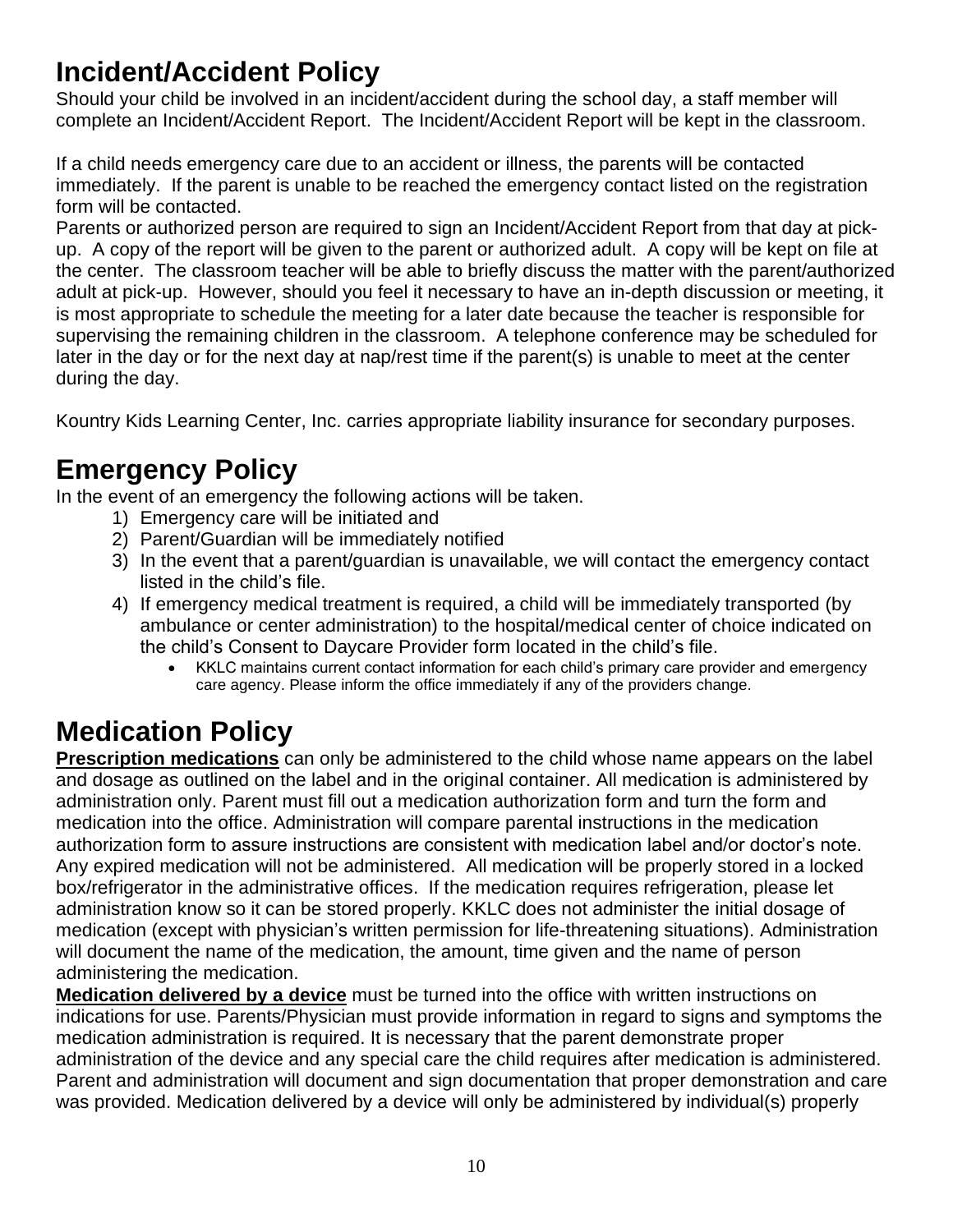#### <span id="page-9-0"></span>**Incident/Accident Policy**

Should your child be involved in an incident/accident during the school day, a staff member will complete an Incident/Accident Report. The Incident/Accident Report will be kept in the classroom.

If a child needs emergency care due to an accident or illness, the parents will be contacted immediately. If the parent is unable to be reached the emergency contact listed on the registration form will be contacted.

Parents or authorized person are required to sign an Incident/Accident Report from that day at pickup. A copy of the report will be given to the parent or authorized adult. A copy will be kept on file at the center. The classroom teacher will be able to briefly discuss the matter with the parent/authorized adult at pick-up. However, should you feel it necessary to have an in-depth discussion or meeting, it is most appropriate to schedule the meeting for a later date because the teacher is responsible for supervising the remaining children in the classroom. A telephone conference may be scheduled for later in the day or for the next day at nap/rest time if the parent(s) is unable to meet at the center during the day.

Kountry Kids Learning Center, Inc. carries appropriate liability insurance for secondary purposes.

## <span id="page-9-1"></span>**Emergency Policy**

In the event of an emergency the following actions will be taken.

- 1) Emergency care will be initiated and
- 2) Parent/Guardian will be immediately notified
- 3) In the event that a parent/guardian is unavailable, we will contact the emergency contact listed in the child's file.
- 4) If emergency medical treatment is required, a child will be immediately transported (by ambulance or center administration) to the hospital/medical center of choice indicated on the child's Consent to Daycare Provider form located in the child's file.
	- KKLC maintains current contact information for each child's primary care provider and emergency care agency. Please inform the office immediately if any of the providers change.

## **Medication Policy**

**Prescription medications** can only be administered to the child whose name appears on the label and dosage as outlined on the label and in the original container. All medication is administered by administration only. Parent must fill out a medication authorization form and turn the form and medication into the office. Administration will compare parental instructions in the medication authorization form to assure instructions are consistent with medication label and/or doctor's note. Any expired medication will not be administered. All medication will be properly stored in a locked box/refrigerator in the administrative offices. If the medication requires refrigeration, please let administration know so it can be stored properly. KKLC does not administer the initial dosage of medication (except with physician's written permission for life-threatening situations). Administration will document the name of the medication, the amount, time given and the name of person administering the medication.

**Medication delivered by a device** must be turned into the office with written instructions on indications for use. Parents/Physician must provide information in regard to signs and symptoms the medication administration is required. It is necessary that the parent demonstrate proper administration of the device and any special care the child requires after medication is administered. Parent and administration will document and sign documentation that proper demonstration and care was provided. Medication delivered by a device will only be administered by individual(s) properly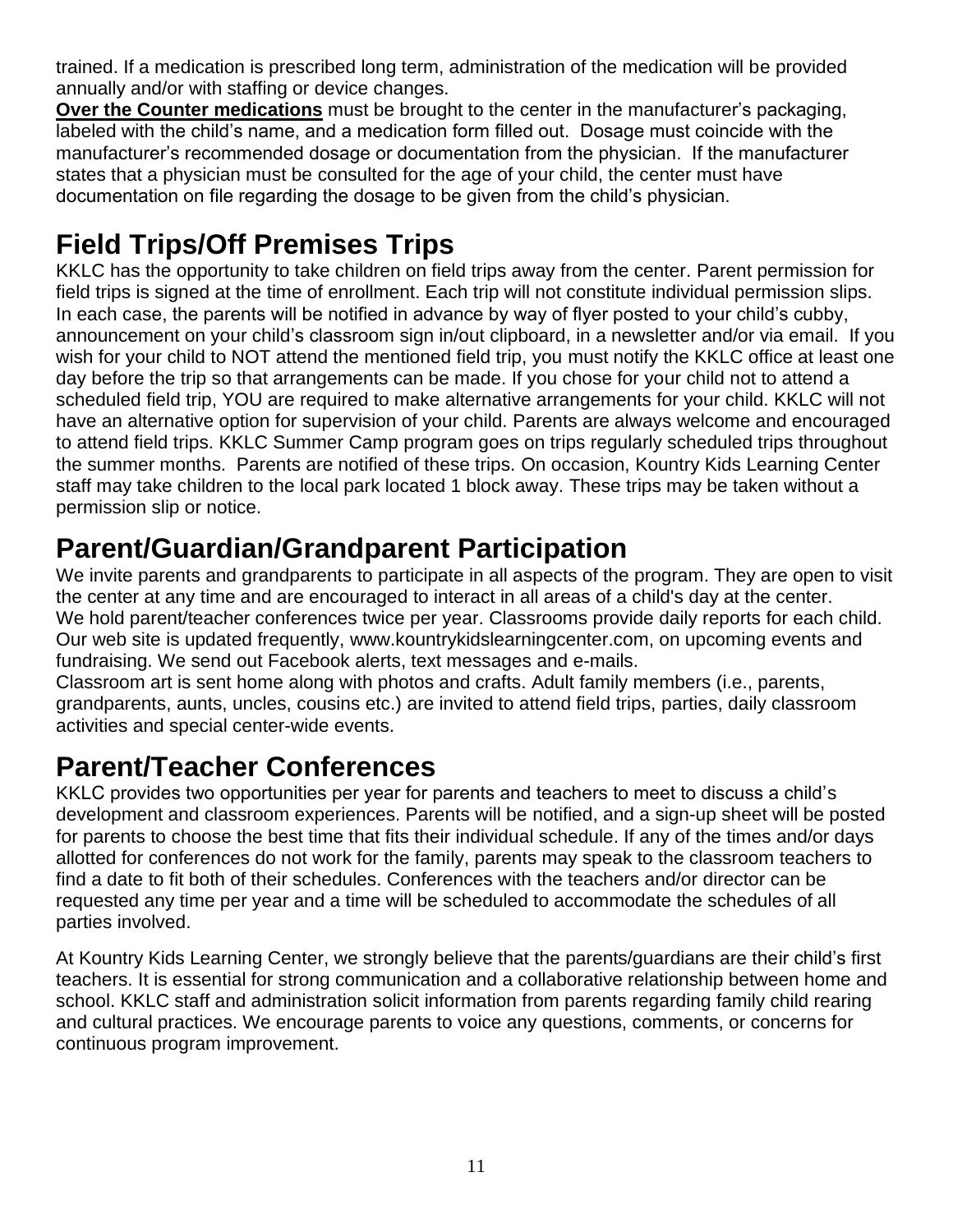trained. If a medication is prescribed long term, administration of the medication will be provided annually and/or with staffing or device changes.

**Over the Counter medications** must be brought to the center in the manufacturer's packaging, labeled with the child's name, and a medication form filled out. Dosage must coincide with the manufacturer's recommended dosage or documentation from the physician. If the manufacturer states that a physician must be consulted for the age of your child, the center must have documentation on file regarding the dosage to be given from the child's physician.

## **Field Trips/Off Premises Trips**

KKLC has the opportunity to take children on field trips away from the center. Parent permission for field trips is signed at the time of enrollment. Each trip will not constitute individual permission slips. In each case, the parents will be notified in advance by way of flyer posted to your child's cubby, announcement on your child's classroom sign in/out clipboard, in a newsletter and/or via email. If you wish for your child to NOT attend the mentioned field trip, you must notify the KKLC office at least one day before the trip so that arrangements can be made. If you chose for your child not to attend a scheduled field trip, YOU are required to make alternative arrangements for your child. KKLC will not have an alternative option for supervision of your child. Parents are always welcome and encouraged to attend field trips. KKLC Summer Camp program goes on trips regularly scheduled trips throughout the summer months. Parents are notified of these trips. On occasion, Kountry Kids Learning Center staff may take children to the local park located 1 block away. These trips may be taken without a permission slip or notice.

#### **Parent/Guardian/Grandparent Participation**

We invite parents and grandparents to participate in all aspects of the program. They are open to visit the center at any time and are encouraged to interact in all areas of a child's day at the center. We hold parent/teacher conferences twice per year. Classrooms provide daily reports for each child. Our web site is updated frequently, www.kountrykidslearningcenter.com, on upcoming events and fundraising. We send out Facebook alerts, text messages and e-mails.

Classroom art is sent home along with photos and crafts. Adult family members (i.e., parents, grandparents, aunts, uncles, cousins etc.) are invited to attend field trips, parties, daily classroom activities and special center-wide events.

## **Parent/Teacher Conferences**

KKLC provides two opportunities per year for parents and teachers to meet to discuss a child's development and classroom experiences. Parents will be notified, and a sign-up sheet will be posted for parents to choose the best time that fits their individual schedule. If any of the times and/or days allotted for conferences do not work for the family, parents may speak to the classroom teachers to find a date to fit both of their schedules. Conferences with the teachers and/or director can be requested any time per year and a time will be scheduled to accommodate the schedules of all parties involved.

At Kountry Kids Learning Center, we strongly believe that the parents/guardians are their child's first teachers. It is essential for strong communication and a collaborative relationship between home and school. KKLC staff and administration solicit information from parents regarding family child rearing and cultural practices. We encourage parents to voice any questions, comments, or concerns for continuous program improvement.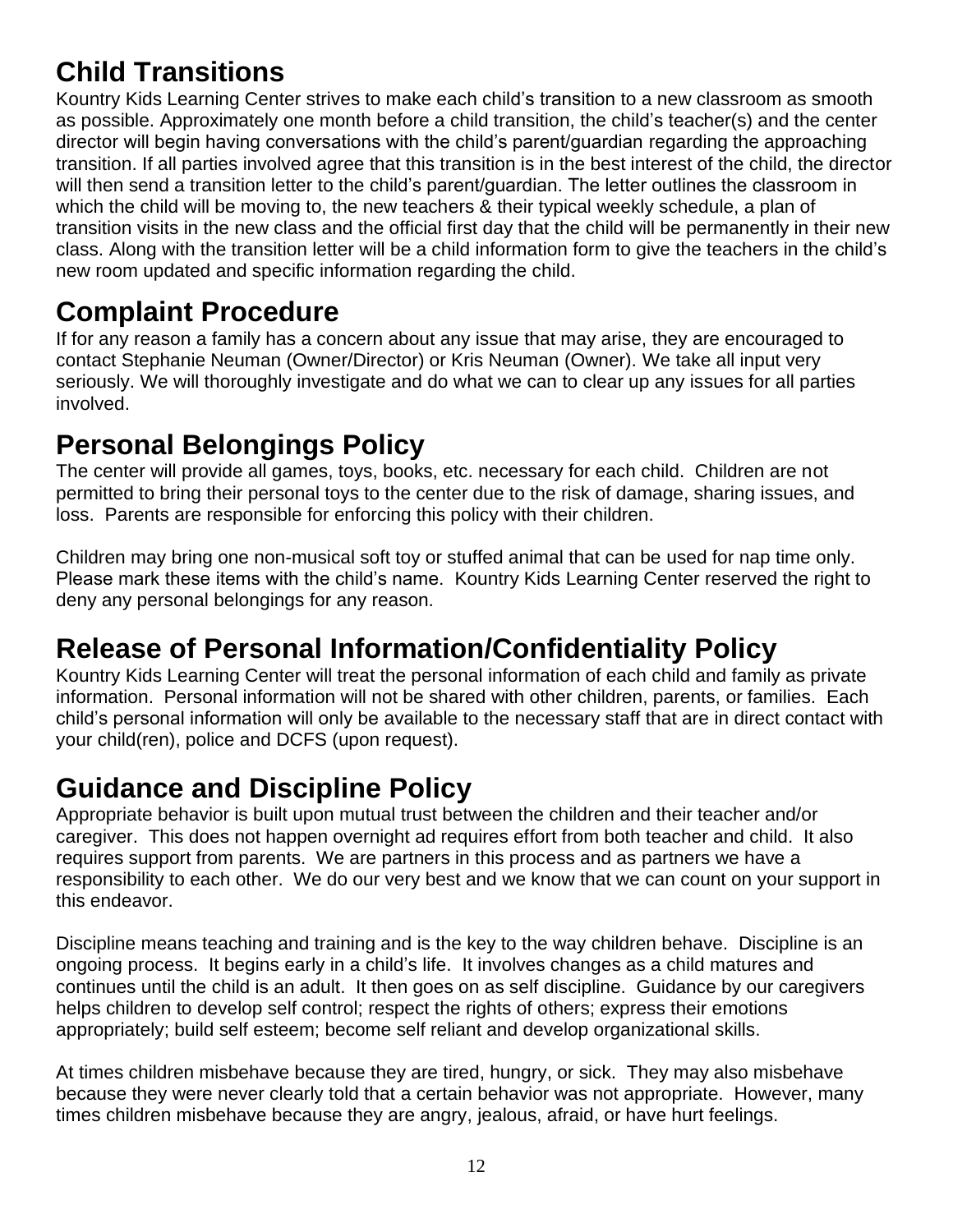## **Child Transitions**

Kountry Kids Learning Center strives to make each child's transition to a new classroom as smooth as possible. Approximately one month before a child transition, the child's teacher(s) and the center director will begin having conversations with the child's parent/guardian regarding the approaching transition. If all parties involved agree that this transition is in the best interest of the child, the director will then send a transition letter to the child's parent/guardian. The letter outlines the classroom in which the child will be moving to, the new teachers & their typical weekly schedule, a plan of transition visits in the new class and the official first day that the child will be permanently in their new class. Along with the transition letter will be a child information form to give the teachers in the child's new room updated and specific information regarding the child.

#### **Complaint Procedure**

If for any reason a family has a concern about any issue that may arise, they are encouraged to contact Stephanie Neuman (Owner/Director) or Kris Neuman (Owner). We take all input very seriously. We will thoroughly investigate and do what we can to clear up any issues for all parties involved.

#### <span id="page-11-0"></span>**Personal Belongings Policy**

The center will provide all games, toys, books, etc. necessary for each child. Children are not permitted to bring their personal toys to the center due to the risk of damage, sharing issues, and loss. Parents are responsible for enforcing this policy with their children.

Children may bring one non-musical soft toy or stuffed animal that can be used for nap time only. Please mark these items with the child's name. Kountry Kids Learning Center reserved the right to deny any personal belongings for any reason.

## <span id="page-11-1"></span>**Release of Personal Information/Confidentiality Policy**

Kountry Kids Learning Center will treat the personal information of each child and family as private information. Personal information will not be shared with other children, parents, or families. Each child's personal information will only be available to the necessary staff that are in direct contact with your child(ren), police and DCFS (upon request).

## <span id="page-11-2"></span>**Guidance and Discipline Policy**

Appropriate behavior is built upon mutual trust between the children and their teacher and/or caregiver. This does not happen overnight ad requires effort from both teacher and child. It also requires support from parents. We are partners in this process and as partners we have a responsibility to each other. We do our very best and we know that we can count on your support in this endeavor.

Discipline means teaching and training and is the key to the way children behave. Discipline is an ongoing process. It begins early in a child's life. It involves changes as a child matures and continues until the child is an adult. It then goes on as self discipline. Guidance by our caregivers helps children to develop self control; respect the rights of others; express their emotions appropriately; build self esteem; become self reliant and develop organizational skills.

At times children misbehave because they are tired, hungry, or sick. They may also misbehave because they were never clearly told that a certain behavior was not appropriate. However, many times children misbehave because they are angry, jealous, afraid, or have hurt feelings.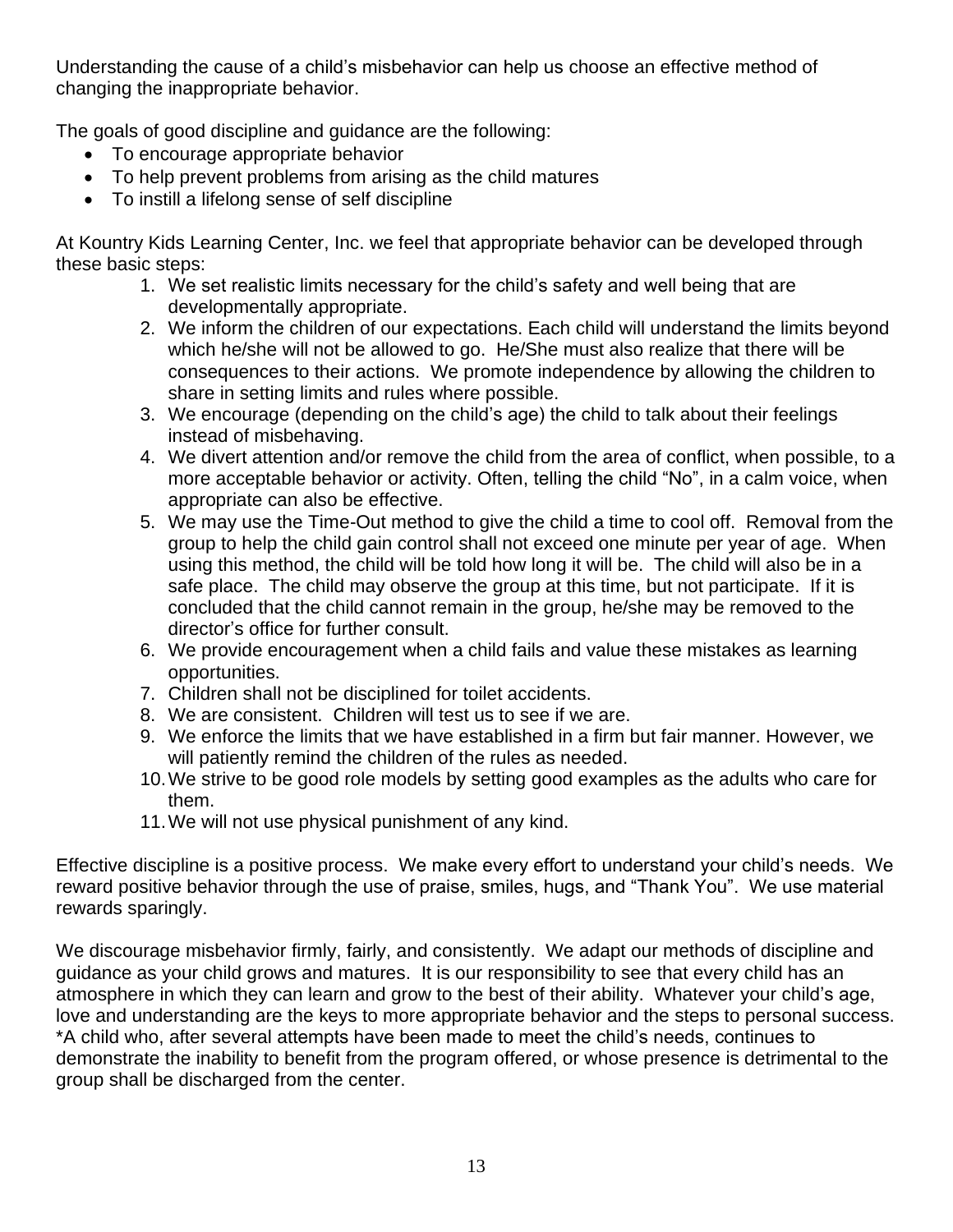Understanding the cause of a child's misbehavior can help us choose an effective method of changing the inappropriate behavior.

The goals of good discipline and guidance are the following:

- To encourage appropriate behavior
- To help prevent problems from arising as the child matures
- To instill a lifelong sense of self discipline

At Kountry Kids Learning Center, Inc. we feel that appropriate behavior can be developed through these basic steps:

- 1. We set realistic limits necessary for the child's safety and well being that are developmentally appropriate.
- 2. We inform the children of our expectations. Each child will understand the limits beyond which he/she will not be allowed to go. He/She must also realize that there will be consequences to their actions. We promote independence by allowing the children to share in setting limits and rules where possible.
- 3. We encourage (depending on the child's age) the child to talk about their feelings instead of misbehaving.
- 4. We divert attention and/or remove the child from the area of conflict, when possible, to a more acceptable behavior or activity. Often, telling the child "No", in a calm voice, when appropriate can also be effective.
- 5. We may use the Time-Out method to give the child a time to cool off. Removal from the group to help the child gain control shall not exceed one minute per year of age. When using this method, the child will be told how long it will be. The child will also be in a safe place. The child may observe the group at this time, but not participate. If it is concluded that the child cannot remain in the group, he/she may be removed to the director's office for further consult.
- 6. We provide encouragement when a child fails and value these mistakes as learning opportunities.
- 7. Children shall not be disciplined for toilet accidents.
- 8. We are consistent. Children will test us to see if we are.
- 9. We enforce the limits that we have established in a firm but fair manner. However, we will patiently remind the children of the rules as needed.
- 10.We strive to be good role models by setting good examples as the adults who care for them.
- 11.We will not use physical punishment of any kind.

Effective discipline is a positive process. We make every effort to understand your child's needs. We reward positive behavior through the use of praise, smiles, hugs, and "Thank You". We use material rewards sparingly.

We discourage misbehavior firmly, fairly, and consistently. We adapt our methods of discipline and guidance as your child grows and matures. It is our responsibility to see that every child has an atmosphere in which they can learn and grow to the best of their ability. Whatever your child's age, love and understanding are the keys to more appropriate behavior and the steps to personal success. \*A child who, after several attempts have been made to meet the child's needs, continues to demonstrate the inability to benefit from the program offered, or whose presence is detrimental to the group shall be discharged from the center.